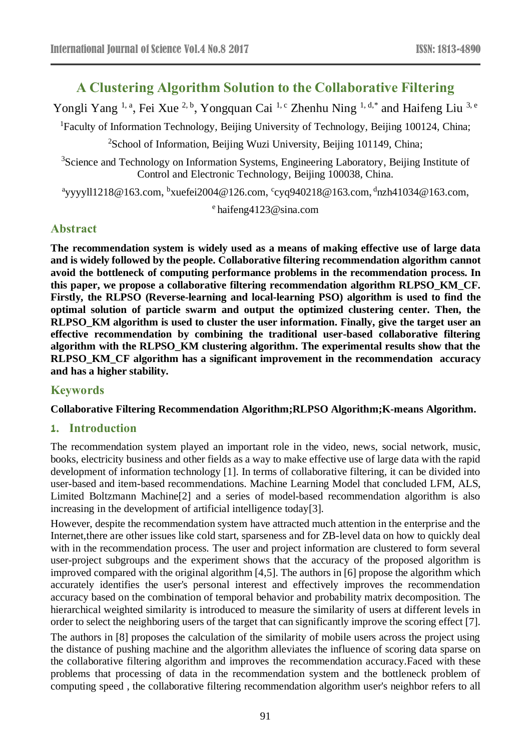# **A Clustering Algorithm Solution to the Collaborative Filtering**

Yongli Yang <sup>1, a</sup>, Fei Xue <sup>2, b</sup>, Yongquan Cai <sup>1, c</sup> Zhenhu Ning <sup>1, d,\*</sup> and Haifeng Liu <sup>3, e</sup>

<sup>1</sup>Faculty of Information Technology, Beijing University of Technology, Beijing 100124, China;

<sup>2</sup>School of Information, Beijing Wuzi University, Beijing 101149, China;

<sup>3</sup>Science and Technology on Information Systems, Engineering Laboratory, Beijing Institute of Control and Electronic Technology, Beijing 100038, China.

<sup>a</sup>yyyyll1218@163.com, <sup>b</sup>xuefei2004@126.com, <sup>c</sup>cyq940218@163.com, <sup>d</sup>nzh41034@163.com,

e haifeng4123@sina.com

# **Abstract**

**The recommendation system is widely used as a means of making effective use of large data and is widely followed by the people. Collaborative filtering recommendation algorithm cannot avoid the bottleneck of computing performance problems in the recommendation process. In this paper, we propose a collaborative filtering recommendation algorithm RLPSO\_KM\_CF. Firstly, the RLPSO (Reverse-learning and local-learning PSO) algorithm is used to find the optimal solution of particle swarm and output the optimized clustering center. Then, the RLPSO\_KM algorithm is used to cluster the user information. Finally, give the target user an effective recommendation by combining the traditional user-based collaborative filtering algorithm with the RLPSO\_KM clustering algorithm. The experimental results show that the RLPSO\_KM\_CF algorithm has a significant improvement in the recommendation accuracy and has a higher stability.**

### **Keywords**

#### **Collaborative Filtering Recommendation Algorithm;RLPSO Algorithm;K-means Algorithm.**

### **1. Introduction**

The recommendation system played an important role in the video, news, social network, music, books, electricity business and other fields as a way to make effective use of large data with the rapid development of information technology [1]. In terms of collaborative filtering, it can be divided into user-based and item-based recommendations. Machine Learning Model that concluded LFM, ALS, Limited Boltzmann Machine[2] and a series of model-based recommendation algorithm is also increasing in the development of artificial intelligence today[3].

However, despite the recommendation system have attracted much attention in the enterprise and the Internet,there are other issues like cold start, sparseness and for ZB-level data on how to quickly deal with in the recommendation process. The user and project information are clustered to form several user-project subgroups and the experiment shows that the accuracy of the proposed algorithm is improved compared with the original algorithm [4,5]. The authors in [6] propose the algorithm which accurately identifies the user's personal interest and effectively improves the recommendation accuracy based on the combination of temporal behavior and probability matrix decomposition. The hierarchical weighted similarity is introduced to measure the similarity of users at different levels in order to select the neighboring users of the target that can significantly improve the scoring effect [7].

The authors in [8] proposes the calculation of the similarity of mobile users across the project using the distance of pushing machine and the algorithm alleviates the influence of scoring data sparse on the collaborative filtering algorithm and improves the recommendation accuracy.Faced with these problems that processing of data in the recommendation system and the bottleneck problem of computing speed , the collaborative filtering recommendation algorithm user's neighbor refers to all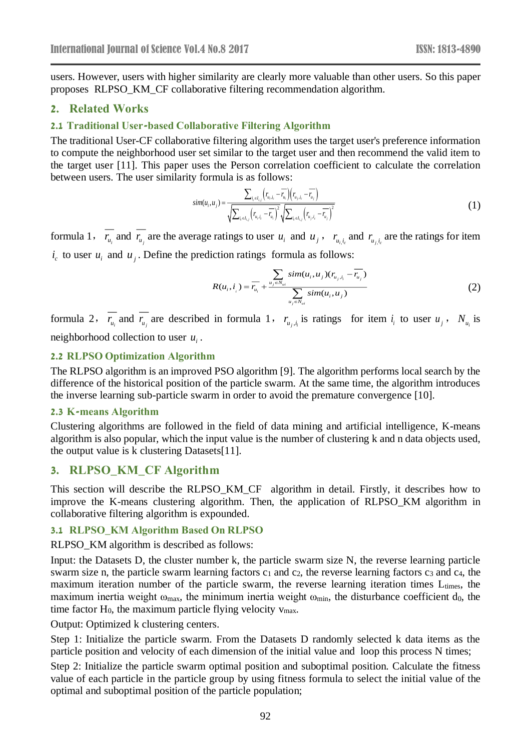users. However, users with higher similarity are clearly more valuable than other users. So this paper proposes RLPSO\_KM\_CF collaborative filtering recommendation algorithm.

### **2. Related Works**

#### **2.1 Traditional User-based Collaborative Filtering Algorithm**

The traditional User-CF collaborative filtering algorithm uses the target user's preference information to compute the neighborhood user set similar to the target user and then recommend the valid item to the target user [11]. This paper uses the Person correlation coefficient to calculate the correlation between users. The user similarity formula is as follows:

$$
sim(u_{i}, u_{j}) = \frac{\sum_{i_{c} \in I_{i,j}} (r_{u_{i}, i_{c}} - \overline{r_{u_{i}}})(r_{u_{j}, i_{c}} - \overline{r_{u_{j}}})}{\sqrt{\sum_{i_{c} \in I_{i,j}} (r_{u_{i}, i_{c}} - \overline{r_{u_{i}}})^{2}} \sqrt{\sum_{i_{c} \in I_{i,j}} (r_{u_{j}, i_{c}} - \overline{r_{u_{j}}})^{2}}}
$$
\n(1)

formula 1,  $r_{u_i}$  and  $r_{u_j}$  are the average ratings to user  $u_i$  and  $u_j$ ,  $r_{u_i i_c}$  and  $r_{u_j i_c}$  are the ratings for item  $i_c$  to user  $u_i$  and  $u_j$ . Define the prediction ratings formula as follows:

$$
R(u_i, i_{i}) = \overline{r_{u_i}} + \frac{\sum_{u_j \in N_{ui}} sim(u_i, u_j)(r_{u_j, i_i} - \overline{r_{u_j}})}{\sum_{u_j \in N_{ui}} sim(u_i, u_j)}
$$
(2)

formula 2,  $r_{u_i}$  and  $r_{u_j}$  are described in formula 1,  $r_{u_j,i_i}$  is ratings for item  $i_i$  to user  $u_j$ ,  $N_{u_i}$  is neighborhood collection to user  $u_i$ .

#### **2.2 RLPSO Optimization Algorithm**

The RLPSO algorithm is an improved PSO algorithm [9]. The algorithm performs local search by the difference of the historical position of the particle swarm. At the same time, the algorithm introduces the inverse learning sub-particle swarm in order to avoid the premature convergence [10].

#### **2.3 K-means Algorithm**

Clustering algorithms are followed in the field of data mining and artificial intelligence, K-means algorithm is also popular, which the input value is the number of clustering k and n data objects used, the output value is k clustering Datasets[11].

### **3. RLPSO\_KM\_CF Algorithm**

This section will describe the RLPSO\_KM\_CF algorithm in detail. Firstly, it describes how to improve the K-means clustering algorithm. Then, the application of RLPSO\_KM algorithm in collaborative filtering algorithm is expounded.

#### **3.1 RLPSO\_KM Algorithm Based On RLPSO**

RLPSO KM algorithm is described as follows:

Input: the Datasets D, the cluster number k, the particle swarm size N, the reverse learning particle swarm size n, the particle swarm learning factors  $c_1$  and  $c_2$ , the reverse learning factors  $c_3$  and  $c_4$ , the maximum iteration number of the particle swarm, the reverse learning iteration times L<sub>times</sub>, the maximum inertia weight  $\omega_{\text{max}}$ , the minimum inertia weight  $\omega_{\text{min}}$ , the disturbance coefficient d<sub>0</sub>, the time factor  $H_0$ , the maximum particle flying velocity  $v_{\text{max}}$ .

Output: Optimized k clustering centers.

Step 1: Initialize the particle swarm. From the Datasets D randomly selected k data items as the particle position and velocity of each dimension of the initial value and loop this process N times;

Step 2: Initialize the particle swarm optimal position and suboptimal position. Calculate the fitness value of each particle in the particle group by using fitness formula to select the initial value of the optimal and suboptimal position of the particle population;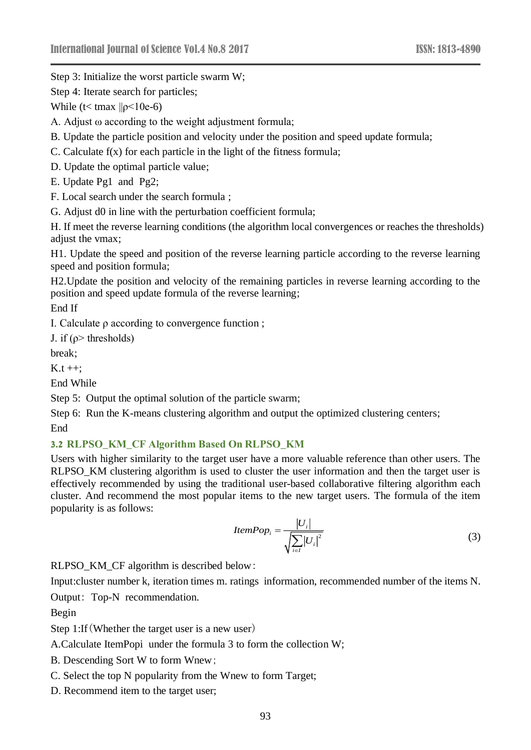Step 3: Initialize the worst particle swarm W;

Step 4: Iterate search for particles;

While ( $t$ < tmax  $||p$ <10e-6)

A. Adjust ω according to the weight adjustment formula;

B. Update the particle position and velocity under the position and speed update formula;

C. Calculate f(x) for each particle in the light of the fitness formula;

D. Update the optimal particle value;

E. Update Pg1 and Pg2;

F. Local search under the search formula ;

G. Adjust d0 in line with the perturbation coefficient formula;

H. If meet the reverse learning conditions (the algorithm local convergences or reaches the thresholds) adjust the vmax;

H1. Update the speed and position of the reverse learning particle according to the reverse learning speed and position formula;

H2.Update the position and velocity of the remaining particles in reverse learning according to the position and speed update formula of the reverse learning;

End If

I. Calculate ρ according to convergence function ;

J. if  $(\rho >$  thresholds)

break;

 $K.t++:$ 

End While

Step 5: Output the optimal solution of the particle swarm;

Step 6: Run the K-means clustering algorithm and output the optimized clustering centers; End

#### **3.2 RLPSO\_KM\_CF Algorithm Based On RLPSO\_KM**

Users with higher similarity to the target user have a more valuable reference than other users. The RLPSO\_KM clustering algorithm is used to cluster the user information and then the target user is effectively recommended by using the traditional user-based collaborative filtering algorithm each cluster. And recommend the most popular items to the new target users. The formula of the item popularity is as follows:

$$
ItemPop_i = \frac{|U_i|}{\sqrt{\sum_{i \in I} |U_i|^2}}
$$
(3)

RLPSO\_KM\_CF algorithm is described below:

Input:cluster number k, iteration times m. ratings information, recommended number of the items N.

Output: Top-N recommendation.

Begin

Step 1:If(Whether the target user is a new user)

A.Calculate ItemPopi under the formula 3 to form the collection W;

B. Descending Sort W to form Wnew;

C. Select the top N popularity from the Wnew to form Target;

D. Recommend item to the target user;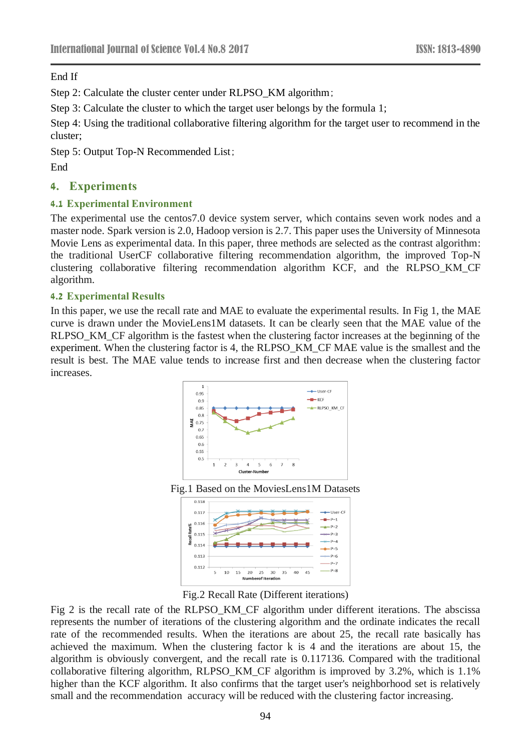End If

Step 2: Calculate the cluster center under RLPSO KM algorithm;

Step 3: Calculate the cluster to which the target user belongs by the formula 1;

Step 4: Using the traditional collaborative filtering algorithm for the target user to recommend in the cluster;

Step 5: Output Top-N Recommended List;

End

## **4. Experiments**

### **4.1 Experimental Environment**

The experimental use the centos7.0 device system server, which contains seven work nodes and a master node. Spark version is 2.0, Hadoop version is 2.7. This paper uses the University of Minnesota Movie Lens as experimental data. In this paper, three methods are selected as the contrast algorithm: the traditional UserCF collaborative filtering recommendation algorithm, the improved Top-N clustering collaborative filtering recommendation algorithm KCF, and the RLPSO\_KM\_CF algorithm.

### **4.2 Experimental Results**

In this paper, we use the recall rate and MAE to evaluate the experimental results. In Fig 1, the MAE curve is drawn under the MovieLens1M datasets. It can be clearly seen that the MAE value of the RLPSO\_KM\_CF algorithm is the fastest when the clustering factor increases at the beginning of the experiment. When the clustering factor is 4, the RLPSO\_KM\_CF MAE value is the smallest and the result is best. The MAE value tends to increase first and then decrease when the clustering factor increases.







Fig.2 Recall Rate (Different iterations)

Fig 2 is the recall rate of the RLPSO\_KM\_CF algorithm under different iterations. The abscissa represents the number of iterations of the clustering algorithm and the ordinate indicates the recall rate of the recommended results. When the iterations are about 25, the recall rate basically has achieved the maximum. When the clustering factor k is 4 and the iterations are about 15, the algorithm is obviously convergent, and the recall rate is 0.117136. Compared with the traditional collaborative filtering algorithm, RLPSO\_KM\_CF algorithm is improved by 3.2%, which is 1.1% higher than the KCF algorithm. It also confirms that the target user's neighborhood set is relatively small and the recommendation accuracy will be reduced with the clustering factor increasing.